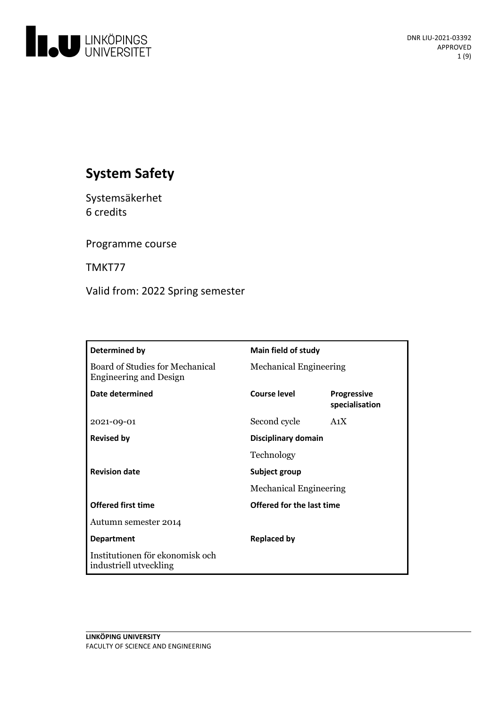

# **System Safety**

Systemsäkerhet 6 credits

Programme course

TMKT77

Valid from: 2022 Spring semester

| Determined by                                                    | <b>Main field of study</b>       |                                      |
|------------------------------------------------------------------|----------------------------------|--------------------------------------|
| Board of Studies for Mechanical<br><b>Engineering and Design</b> | <b>Mechanical Engineering</b>    |                                      |
| Date determined                                                  | <b>Course level</b>              | <b>Progressive</b><br>specialisation |
| 2021-09-01                                                       | Second cycle                     | A <sub>1</sub> X                     |
| <b>Revised by</b>                                                | Disciplinary domain              |                                      |
|                                                                  | Technology                       |                                      |
| <b>Revision date</b>                                             | Subject group                    |                                      |
|                                                                  | <b>Mechanical Engineering</b>    |                                      |
| <b>Offered first time</b>                                        | <b>Offered for the last time</b> |                                      |
| Autumn semester 2014                                             |                                  |                                      |
| <b>Department</b>                                                | <b>Replaced by</b>               |                                      |
| Institutionen för ekonomisk och<br>industriell utveckling        |                                  |                                      |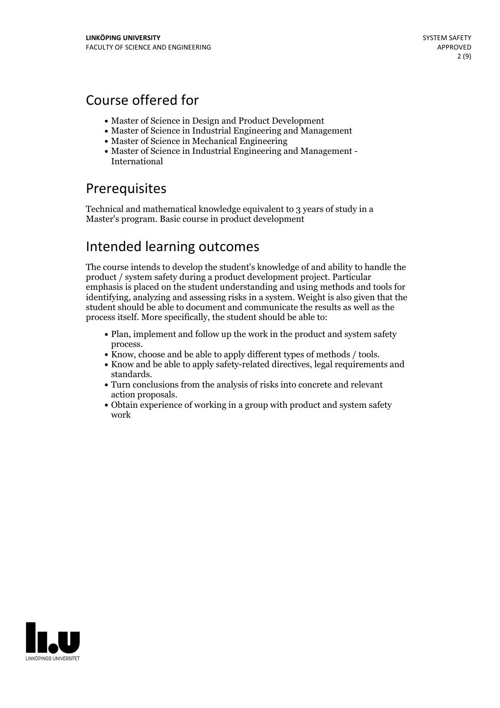## Course offered for

- Master of Science in Design and Product Development
- Master of Science in Industrial Engineering and Management
- Master of Science in Mechanical Engineering
- Master of Science in Industrial Engineering and Management International

## Prerequisites

Technical and mathematical knowledge equivalent to 3 years of study in a Master's program. Basic course in product development

## Intended learning outcomes

The course intends to develop the student's knowledge of and ability to handle the product / system safetyduring a product development project. Particular emphasis is placed on the student understanding and using methods and tools for identifying, analyzing and assessing risks in a system. Weight is also given that the student should be able to document and communicate the results as well as the process itself. More specifically, the student should be able to:

- Plan, implement and follow up the work in the product and system safety
- 
- process.<br>• Know, choose and be able to apply different types of methods / tools.<br>• Know and be able to apply safety-related directives, legal requirements and standards. Turn conclusions from the analysis of risks into concrete and relevant
- action proposals.<br>• Obtain experience of working in a group with product and system safety
- work

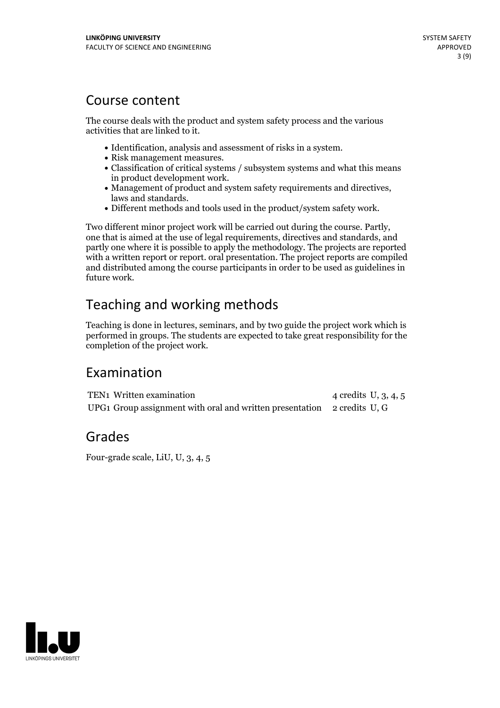## Course content

The course deals with the product and system safety process and the various activities that are linked to it.

- 
- 
- $\bullet$  Identification, analysis and assessment of risks in a system.<br>  $\bullet$  Risk management measures.<br>  $\bullet$  Classification of critical systems / subsystem systems and what this means
- Management of product and system safety requirements and directives, laws and standards. <br>• Different methods and tools used in the product/system safety work.
- 

Two different minor project work will be carried out during the course. Partly, one that is aimed at the use of legal requirements, directives and standards, and partly one where it is possible to apply the methodology. The projects are reported with a written report or report. oral presentation. The project reports are compiled and distributed among the course participants in order to be used as guidelines in future work.

# Teaching and working methods

Teaching is done in lectures, seminars, and by two guide the project work which is performed in groups. The students are expected to take great responsibility for the completion of the project work.

## Examination

TEN1 Written examination 4 credits U, 3, 4, 5 UPG1 Group assignment with oral and written presentation 2 credits U, G

## Grades

Four-grade scale, LiU, U, 3, 4, 5

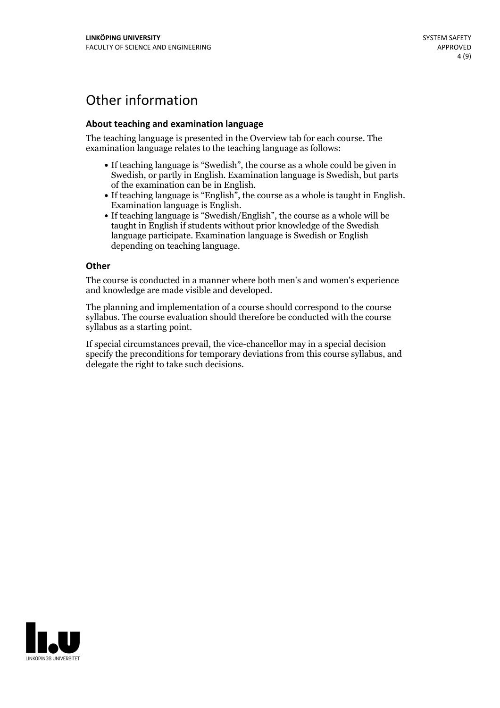## Other information

### **About teaching and examination language**

The teaching language is presented in the Overview tab for each course. The examination language relates to the teaching language as follows:

- If teaching language is "Swedish", the course as a whole could be given in Swedish, or partly in English. Examination language is Swedish, but parts
- of the examination can be in English. If teaching language is "English", the course as <sup>a</sup> whole is taught in English. Examination language is English. If teaching language is "Swedish/English", the course as <sup>a</sup> whole will be
- taught in English if students without prior knowledge of the Swedish language participate. Examination language is Swedish or English depending on teaching language.

#### **Other**

The course is conducted in a manner where both men's and women's experience and knowledge are made visible and developed.

The planning and implementation of a course should correspond to the course syllabus. The course evaluation should therefore be conducted with the course syllabus as a starting point.

If special circumstances prevail, the vice-chancellor may in a special decision specify the preconditions for temporary deviations from this course syllabus, and delegate the right to take such decisions.

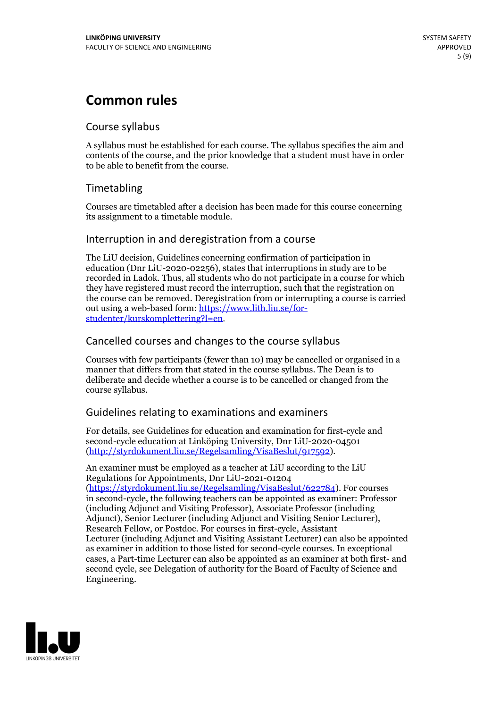## **Common rules**

### Course syllabus

A syllabus must be established for each course. The syllabus specifies the aim and contents of the course, and the prior knowledge that a student must have in order to be able to benefit from the course.

## Timetabling

Courses are timetabled after a decision has been made for this course concerning its assignment to a timetable module.

### Interruption in and deregistration from a course

The LiU decision, Guidelines concerning confirmation of participation in education (Dnr LiU-2020-02256), states that interruptions in study are to be recorded in Ladok. Thus, all students who do not participate in a course for which they have registered must record the interruption, such that the registration on the course can be removed. Deregistration from or interrupting a course is carried out using <sup>a</sup> web-based form: https://www.lith.liu.se/for- [studenter/kurskomplettering?l=en.](https://www.lith.liu.se/for-studenter/kurskomplettering?l=en)

## Cancelled courses and changes to the course syllabus

Courses with few participants (fewer than 10) may be cancelled or organised in a manner that differs from that stated in the course syllabus. The Dean is to deliberate and decide whether a course is to be cancelled or changed from the course syllabus.

## Guidelines relating to examinations and examiners

For details, see Guidelines for education and examination for first-cycle and second-cycle education at Linköping University, Dnr LiU-2020-04501 [\(http://styrdokument.liu.se/Regelsamling/VisaBeslut/917592\)](http://styrdokument.liu.se/Regelsamling/VisaBeslut/917592).

An examiner must be employed as a teacher at LiU according to the LiU Regulations for Appointments, Dnr LiU-2021-01204 [\(https://styrdokument.liu.se/Regelsamling/VisaBeslut/622784](https://styrdokument.liu.se/Regelsamling/VisaBeslut/622784)). For courses in second-cycle, the following teachers can be appointed as examiner: Professor (including Adjunct and Visiting Professor), Associate Professor (including Adjunct), Senior Lecturer (including Adjunct and Visiting Senior Lecturer), Research Fellow, or Postdoc. For courses in first-cycle, Assistant Lecturer (including Adjunct and Visiting Assistant Lecturer) can also be appointed as examiner in addition to those listed for second-cycle courses. In exceptional cases, a Part-time Lecturer can also be appointed as an examiner at both first- and second cycle, see Delegation of authority for the Board of Faculty of Science and Engineering.

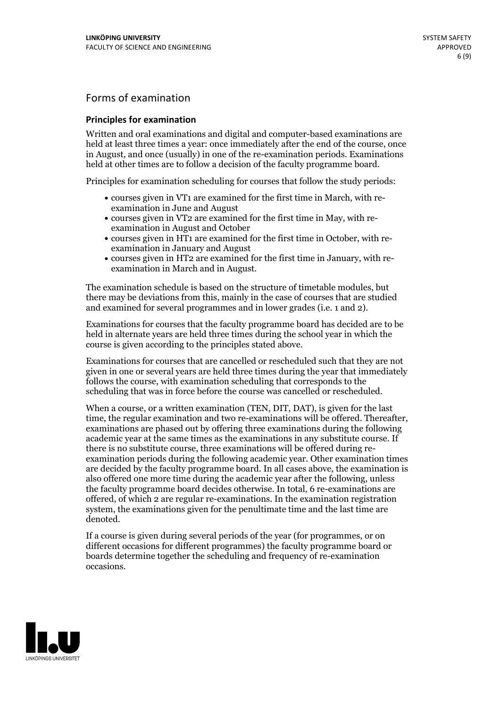## Forms of examination

### **Principles for examination**

Written and oral examinations and digital and computer-based examinations are held at least three times a year: once immediately after the end of the course, once in August, and once (usually) in one of the re-examination periods. Examinations held at other times are to follow a decision of the faculty programme board.

Principles for examination scheduling for courses that follow the study periods:

- courses given in VT1 are examined for the first time in March, with re-examination in June and August
- courses given in VT2 are examined for the first time in May, with re-examination in August and October
- courses given in HT1 are examined for the first time in October, with re-examination in January and August
- courses given in HT2 are examined for the first time in January, with re-examination in March and in August.

The examination schedule is based on the structure of timetable modules, but there may be deviations from this, mainly in the case of courses that are studied and examined for several programmes and in lower grades (i.e. 1 and 2).

Examinations for courses that the faculty programme board has decided are to be held in alternate years are held three times during the school year in which the course is given according to the principles stated above.

Examinations for courses that are cancelled orrescheduled such that they are not given in one or several years are held three times during the year that immediately follows the course, with examination scheduling that corresponds to the scheduling that was in force before the course was cancelled or rescheduled.

When a course, or a written examination (TEN, DIT, DAT), is given for the last time, the regular examination and two re-examinations will be offered. Thereafter, examinations are phased out by offering three examinations during the following academic year at the same times as the examinations in any substitute course. If there is no substitute course, three examinations will be offered during re- examination periods during the following academic year. Other examination times are decided by the faculty programme board. In all cases above, the examination is also offered one more time during the academic year after the following, unless the faculty programme board decides otherwise. In total, 6 re-examinations are offered, of which 2 are regular re-examinations. In the examination registration system, the examinations given for the penultimate time and the last time are denoted.

If a course is given during several periods of the year (for programmes, or on different occasions for different programmes) the faculty programme board or boards determine together the scheduling and frequency of re-examination occasions.

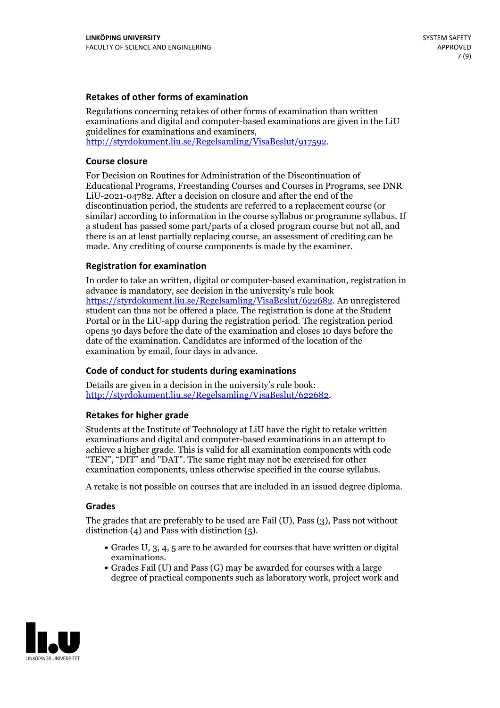### **Retakes of other forms of examination**

Regulations concerning retakes of other forms of examination than written examinations and digital and computer-based examinations are given in the LiU guidelines for examinations and examiners, [http://styrdokument.liu.se/Regelsamling/VisaBeslut/917592.](http://styrdokument.liu.se/Regelsamling/VisaBeslut/917592)

#### **Course closure**

For Decision on Routines for Administration of the Discontinuation of Educational Programs, Freestanding Courses and Courses in Programs, see DNR LiU-2021-04782. After a decision on closure and after the end of the discontinuation period, the students are referred to a replacement course (or similar) according to information in the course syllabus or programme syllabus. If a student has passed some part/parts of a closed program course but not all, and there is an at least partially replacing course, an assessment of crediting can be made. Any crediting of course components is made by the examiner.

### **Registration for examination**

In order to take an written, digital or computer-based examination, registration in advance is mandatory, see decision in the university's rule book [https://styrdokument.liu.se/Regelsamling/VisaBeslut/622682.](https://styrdokument.liu.se/Regelsamling/VisaBeslut/622682) An unregistered student can thus not be offered a place. The registration is done at the Student Portal or in the LiU-app during the registration period. The registration period opens 30 days before the date of the examination and closes 10 days before the date of the examination. Candidates are informed of the location of the examination by email, four days in advance.

### **Code of conduct for students during examinations**

Details are given in a decision in the university's rule book: <http://styrdokument.liu.se/Regelsamling/VisaBeslut/622682>.

#### **Retakes for higher grade**

Students at the Institute of Technology at LiU have the right to retake written examinations and digital and computer-based examinations in an attempt to achieve a higher grade. This is valid for all examination components with code "TEN", "DIT" and "DAT". The same right may not be exercised for other examination components, unless otherwise specified in the course syllabus.

A retake is not possible on courses that are included in an issued degree diploma.

#### **Grades**

The grades that are preferably to be used are Fail (U), Pass (3), Pass not without distinction  $(4)$  and Pass with distinction  $(5)$ .

- Grades U, 3, 4, 5 are to be awarded for courses that have written or digital examinations.<br>• Grades Fail (U) and Pass (G) may be awarded for courses with a large
- degree of practical components such as laboratory work, project work and

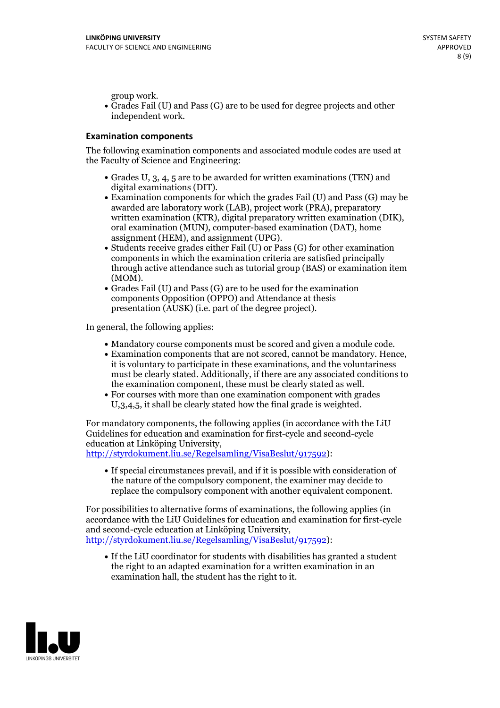group work.<br>• Grades Fail (U) and Pass (G) are to be used for degree projects and other independent work.

#### **Examination components**

The following examination components and associated module codes are used at the Faculty of Science and Engineering:

- Grades U, 3, 4, 5 are to be awarded for written examinations (TEN) and
- digital examinations (DIT).<br>• Examination components for which the grades Fail (U) and Pass (G) may be awarded are laboratory work (LAB), project work (PRA), preparatory written examination (KTR), digital preparatory written examination (DIK), oral examination (MUN), computer-based examination (DAT), home
- assignment (HEM), and assignment (UPG).<br>• Students receive grades either Fail (U) or Pass (G) for other examination components in which the examination criteria are satisfied principally through active attendance such as tutorial group (BAS) or examination item
- (MOM).<br>• Grades Fail (U) and Pass (G) are to be used for the examination components Opposition (OPPO) and Attendance at thesis presentation (AUSK) (i.e. part of the degree project).

In general, the following applies:

- 
- Mandatory course components must be scored and given <sup>a</sup> module code. Examination components that are not scored, cannot be mandatory. Hence, it is voluntary to participate in these examinations, and the voluntariness must be clearly stated. Additionally, if there are any associated conditions to
- the examination component, these must be clearly stated as well.<br>• For courses with more than one examination component with grades U,3,4,5, it shall be clearly stated how the final grade is weighted.

For mandatory components, the following applies (in accordance with the LiU Guidelines for education and examination for first-cycle and second-cycle education at Linköping University,<br>[http://styrdokument.liu.se/Regelsamling/VisaBeslut/917592\)](http://styrdokument.liu.se/Regelsamling/VisaBeslut/917592):

If special circumstances prevail, and if it is possible with consideration of the nature of the compulsory component, the examiner may decide to replace the compulsory component with another equivalent component.

For possibilities to alternative forms of examinations, the following applies (in accordance with the LiU Guidelines for education and examination for first-cycle [http://styrdokument.liu.se/Regelsamling/VisaBeslut/917592\)](http://styrdokument.liu.se/Regelsamling/VisaBeslut/917592):

If the LiU coordinator for students with disabilities has granted a student the right to an adapted examination for a written examination in an examination hall, the student has the right to it.